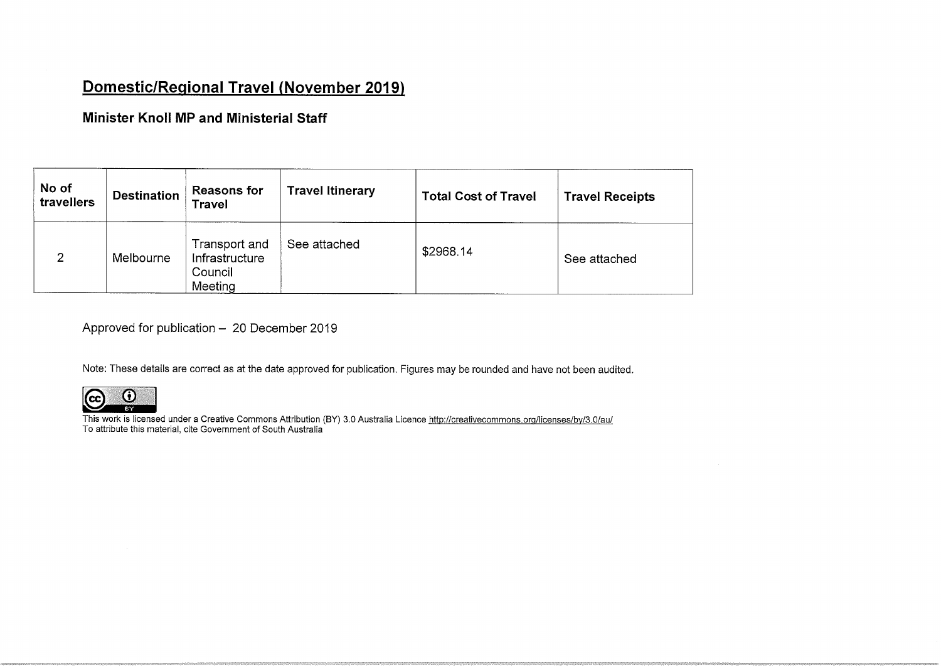## Domestic/Reaional Travel (November 2019)

Minister Knoll MP and Ministerial Staff

| No of<br>travellers | <b>Destination</b> | <b>Reasons for</b><br><b>Travel</b>                   | <b>Travel Itinerary</b> | <b>Total Cost of Travel</b> | <b>Travel Receipts</b> |
|---------------------|--------------------|-------------------------------------------------------|-------------------------|-----------------------------|------------------------|
| $\overline{2}$      | Melbourne          | Transport and<br>Infrastructure<br>Council<br>Meeting | See attached            | \$2968.14                   | See attached           |

Approved for publication  $-20$  December 2019

Note: These details are correct as at the date approved for publication. Figures may be rounded and have not been audited.



This work is licensed under a Creative Commons Attribution (BY) 3.0 Australia Licence <u>http://creativecommons.org/licenses/by/3.0/au</u><br>To attribute this material, cite Government of South Australia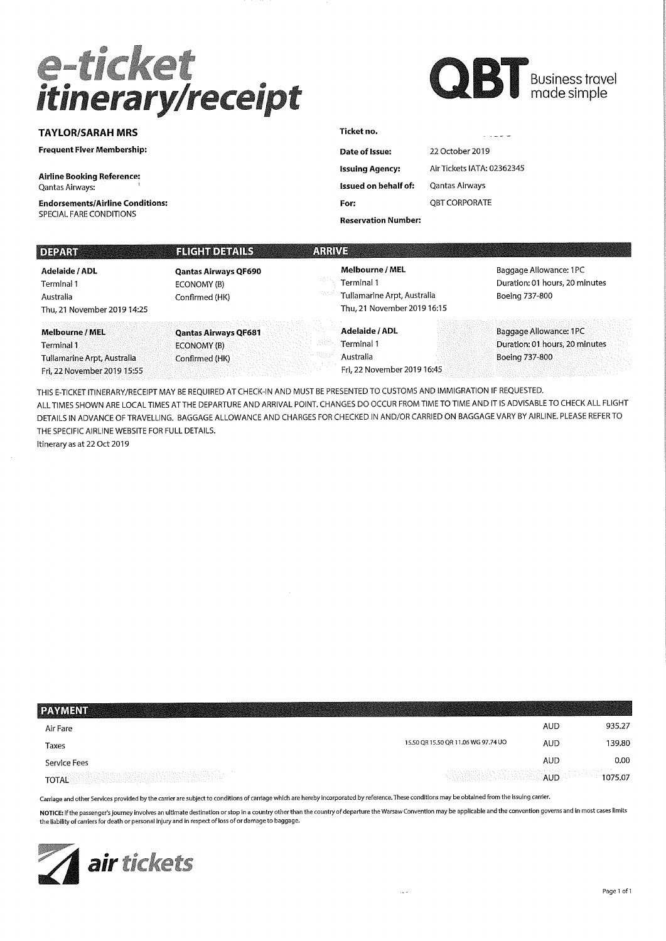# e-ticket<br>itinerary/receipt



TAYLOR/SARAH MRS

Frequent Flver Membership:

Airline Booking Reference; Qantas Airways:

Endorsements/Airline Conditions: SPECIAL FARE CONDITIONS

| Date of Issue:             | 22 October 2019            |
|----------------------------|----------------------------|
| <b>Issuing Agency:</b>     | Air Tickets IATA: 02362345 |
| Issued on behalf of:       | Qantas Airways             |
| For:                       | OBT CORPORATE              |
| <b>Reservation Number:</b> |                            |

| DEPART                                                                                             | <b>FLIGHT DETAILS</b>                                        | ARRIVE                                                                                             |                                                                            |
|----------------------------------------------------------------------------------------------------|--------------------------------------------------------------|----------------------------------------------------------------------------------------------------|----------------------------------------------------------------------------|
| Adelaide / ADL<br>Terminal 1<br>Australia<br>Thu, 21 November 2019 14:25                           | <b>Qantas Airways QF690</b><br>ECONOMY (B)<br>Confirmed (HK) | <b>Melbourne / MEL</b><br>Terminal 1<br>Tullamarine Arpt, Australia<br>Thu, 21 November 2019 16:15 | Baggage Allowance: 1PC<br>Duration: 01 hours, 20 minutes<br>Boeing 737-800 |
| <b>Melbourne / MEL</b><br>Terminal 1<br>Tullamarine Arpt, Australia<br>Fri. 22 November 2019 15:55 | <b>Qantas Airways QF681</b><br>ECONOMY (B)<br>Confirmed (HK) | Adelaide / ADL<br>Terminal 1<br>Australia<br>Fri, 22 November 2019 16:45                           | Baggage Allowance: 1PC<br>Duration: 01 hours, 20 minutes<br>Boeing 737-800 |

Ticket no.

THIS E-TICKET ITINERARY/RECEIPT MAY BE REQUIRED AT CHECK-IN AND MUST BE PRESENTED TO CUSTOMS AND IMMIGRATION IF REQUESTED. ALL TIMES SHOWN ARE LOCAL TIMES ATTHE DEPARTURE AND ARRIVAL POINT. CHANGES DO OCCUR FROM TIME TO TIME AND IT IS ADVISABLE TO CHECK ALL FLIGHT DETAILS IN ADVANCE OF TRAVELLING. BAGGAGE ALLOWANCE AND CHARGES FOR CHECKED IN AND/OR CARRIED ON BAGGAGE VARY BY AIRLINE. PLEASE REFER TO THE SPECIFIC AIRLINE WEBSITE FOR FULL DETAILS. Itinerary as at 22 Oct 2019

| <b>PAYMENT</b>                                                                                                                                                                                                                                                                                                                                                                                                                                                |                                     |            |         |
|---------------------------------------------------------------------------------------------------------------------------------------------------------------------------------------------------------------------------------------------------------------------------------------------------------------------------------------------------------------------------------------------------------------------------------------------------------------|-------------------------------------|------------|---------|
| Air Fare                                                                                                                                                                                                                                                                                                                                                                                                                                                      |                                     | AUD        | 935.27  |
| Taxes                                                                                                                                                                                                                                                                                                                                                                                                                                                         | 15.50 QR 15.50 QR 11.06 WG 97.74 UO | <b>AUD</b> | 139.80  |
| Service Fees                                                                                                                                                                                                                                                                                                                                                                                                                                                  |                                     | AUD        | 0.00    |
| $\label{eq:decomp} \begin{split} \mathcal{L}^{\text{M}}_{\text{M}}(\mathcal{L}^{\text{M}}_{\text{M}}(\mathcal{L}^{\text{M}}_{\text{M}}),\mathcal{L}^{\text{M}}_{\text{M}}(\mathcal{L}^{\text{M}}_{\text{M}}),\mathcal{L}^{\text{M}}_{\text{M}}(\mathcal{L}^{\text{M}}_{\text{M}}),\mathcal{L}^{\text{M}}_{\text{M}}(\mathcal{L}^{\text{M}}_{\text{M}}),\mathcal{L}^{\text{M}}_{\text{M}}(\mathcal{L}^{\text{M}}_{\text{M}}),\mathcal{$<br>그리고 작품을 받는<br>TOTAL | <b>AUD</b>                          |            | 1075.07 |

Carriage and other Services provided by the carrier are subject to conditions of carriage which are hereby incorporated by reference. These conditions may be obtained from the issuing carrier.

NOTICE: If the passenger's journey involves an ultimate destination or stop in a country other than the country of departure the Warsaw Convention may be applicable and the convention governs and in most cases limits the liability of carriers for death or personal injury and in respect of loss of or damage to baggage.

 $\mu$  and  $\mu$ 

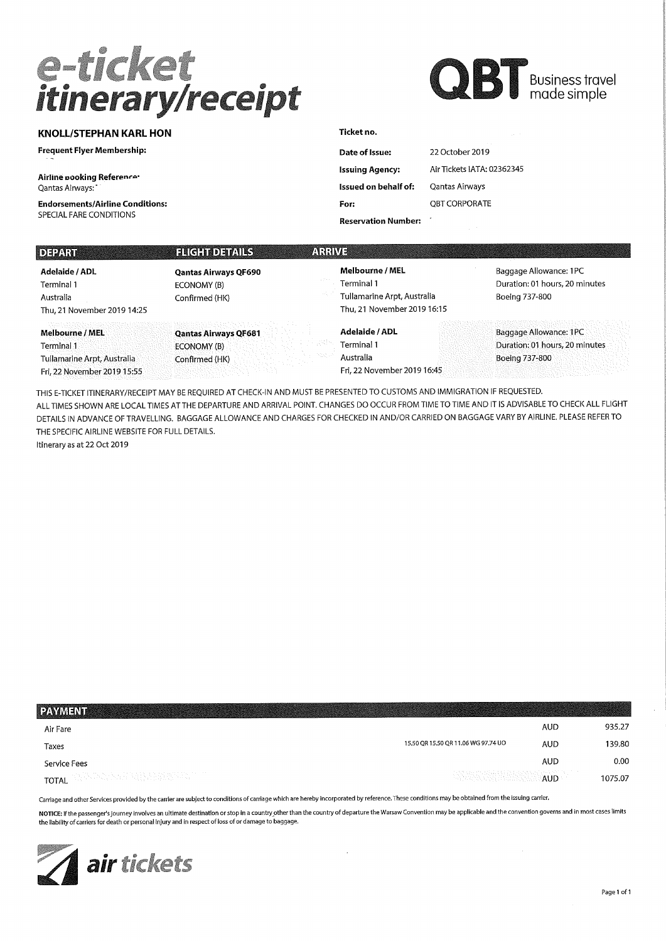## e-ticket<br>itinerary/receipt



### KNOLL/STEPHAN KARL HON

Frequent Flyer Membership:

Airline pooking Referenro-Qantas Airways:

Endorsements/Airline Conditions: SPECIAL FARE CONDITIONS

| Date of Issue:              | 22 October 2019            |
|-----------------------------|----------------------------|
| <b>Issuing Agency:</b>      | Air Tickets IATA: 02362345 |
| <b>Issued on behalf of:</b> | Qantas Airways             |
| For:                        | OBT CORPORATE              |
| <b>Reservation Number:</b>  |                            |

| <b>DEPART</b>                                                                               | <b>HIGH DEMIS</b>                                            | ARRIVE                                                                                             |                                                                            |
|---------------------------------------------------------------------------------------------|--------------------------------------------------------------|----------------------------------------------------------------------------------------------------|----------------------------------------------------------------------------|
| Adelaide / ADL<br>Terminal 1<br>Australia<br>Thu, 21 November 2019 14:25                    | <b>Qantas Airways QF690</b><br>ECONOMY (B)<br>Confirmed (HK) | <b>Melbourne / MEL</b><br>Terminal 1<br>Tullamarine Arpt, Australia<br>Thu, 21 November 2019 16:15 | Baggage Allowance: 1PC<br>Duration: 01 hours, 20 minutes<br>Boeing 737-800 |
| Melbourne / MEL<br>Terminal 1<br>Tullamarine Arpt, Australia<br>Fri. 22 November 2019 15:55 | <b>Qantas Airways QF681</b><br>ECONOMY (B)<br>Confirmed (HK) | Adelaide / ADL<br>Terminal 1<br>Australia<br>Fri, 22 November 2019 16:45                           | Baggage Allowance: 1PC<br>Duration: 01 hours, 20 minutes<br>Boeing 737-800 |

Ticket no.

THIS E-TICKET ITINERARY/RECEIPT MAY BE REQUIRED AT CHECK-IN AND MUST BE PRESENTED TO CUSTOMS AND IMMIGRATION IF REQUESTED. ALL TIMES SHOWN ARE LOCAL TIMES ATTHE DEPARTURE AND ARRIVAL POINT. CHANGES DO OCCUR FROM TIME TO TIME AND IT IS ADVISABLE TO CHECK ALL FLIGHT DETAILS IN ADVANCE OF TRAVELLING. BAGGAGE ALLOWANCE AND CHARGES FOR CHECKED IN AND/OR CARRIED ON BAGGAGE VARY BY AIRLINE. PLEASE REFER TO THE SPECIFIC AIRLINE WEBSITE FOR FULL DETAILS. Itinerary as at 22 Oct 2019

| PAYMENT                                     |                                     |            |         |
|---------------------------------------------|-------------------------------------|------------|---------|
| Air Fare                                    |                                     | AUD        | 935.27  |
| Taxes                                       | 15.50 OR 15.50 OR 11.06 WG 97.74 UO | AUD        | 139.80  |
| Service Fees                                |                                     | <b>AUD</b> | 0.00    |
| <b>TOTAL</b> AND DEVELOPMENT CONTROL TO THE | <b>AUD</b>                          |            | 1075.07 |
|                                             |                                     |            |         |

Carriage and other Services provided by the carrier are subject to conditions of carriage which are hereby incorporated by reference. These conditions may be obtained from the issuing carrier.

NOTICE: If the passenger's journey involves an ultimate destination or stop in a country other than the country of departure the Warsaw Convention may be applicable and the convention governs and in most cases limits the liability of carriers for death or personal injury and in respect of loss of or damage to baggage.

 $\mathcal{A}$ 

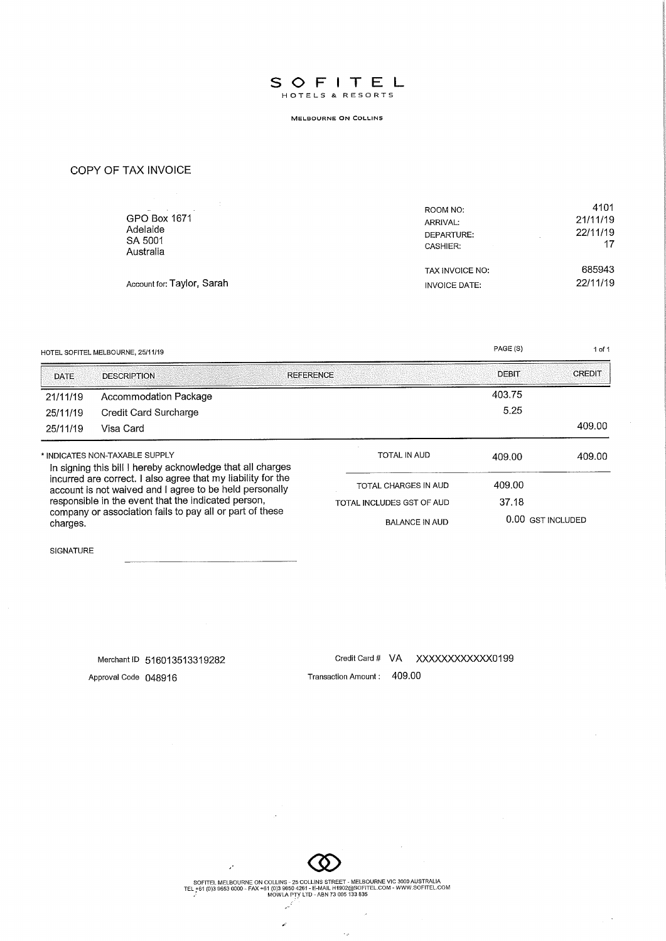

MELBOURNE ON COLUN5

COPY OF TAX INVOICE

| service and the control of the<br>GPO Box 1671<br>Adelaide<br>SA 5001<br>Australia | ROOM NO:<br>ARRIVAL:<br>DEPARTURE:<br><b>CASHIER:</b> | 4101<br>21/11/19<br>22/11/19<br>17 |
|------------------------------------------------------------------------------------|-------------------------------------------------------|------------------------------------|
|                                                                                    | TAX INVOICE NO:                                       | 685943                             |
| Account for: Taylor, Sarah                                                         | INVOICE DATE:                                         | 22/11/19                           |

|                                                                                                                                                                                                                                                                                                                                                        | HOTEL SOFITEL MELBOURNE, 25/11/19 |                           | PAGE (S)     | 1 of 1            |
|--------------------------------------------------------------------------------------------------------------------------------------------------------------------------------------------------------------------------------------------------------------------------------------------------------------------------------------------------------|-----------------------------------|---------------------------|--------------|-------------------|
| <b>DATE</b>                                                                                                                                                                                                                                                                                                                                            | <b>DESCRIPTION</b>                | <b>REFERENCE</b>          | <b>DEBIT</b> | <b>CREDIT</b>     |
| 21/11/19                                                                                                                                                                                                                                                                                                                                               | Accommodation Package             |                           | 403.75       |                   |
| 25/11/19                                                                                                                                                                                                                                                                                                                                               | Credit Card Surcharge             |                           | 5.25         |                   |
| 25/11/19                                                                                                                                                                                                                                                                                                                                               | Visa Card                         |                           |              | 409.00            |
| * INDICATES NON-TAXABLE SUPPLY<br>In signing this bill I hereby acknowledge that all charges<br>incurred are correct. I also agree that my liability for the<br>account is not waived and I agree to be held personally<br>responsible in the event that the indicated person,<br>company or association fails to pay all or part of these<br>charges. |                                   | TOTAL IN AUD              | 409.00       | 409.00            |
|                                                                                                                                                                                                                                                                                                                                                        |                                   | TOTAL CHARGES IN AUD      | 409.00       |                   |
|                                                                                                                                                                                                                                                                                                                                                        |                                   | TOTAL INCLUDES GST OF AUD | 37.18        |                   |
|                                                                                                                                                                                                                                                                                                                                                        |                                   | <b>BALANCE IN AUD</b>     |              | 0.00 GST INCLUDED |

SIGNATURE

Merchant ID 516013513319282

Credit Card # VA XXXXXXXXXXXX0199

 $\sim$ 

 $\sim$ 

J,

 $\bar{\mathcal{L}}_p$ 

Approval Code 048916

Transaction Amount: 409.00



SOFTI EL MELBOURNE ON COLLINS - 25 COLLINS STREET - MELBOURNE VIC 3000 AUSTRALIA<br>TEL +61 (0)3 9653 0000 - FAX +61 (0)3 9650 4261 - E-MAIL H1902@SOFITEL.COM - WWW.SOFITEL.COM<br>MOWLA PTY LTD - ABN 73 005 133 835

 $\mathbf{r}$ 

 $\mathcal{L}$